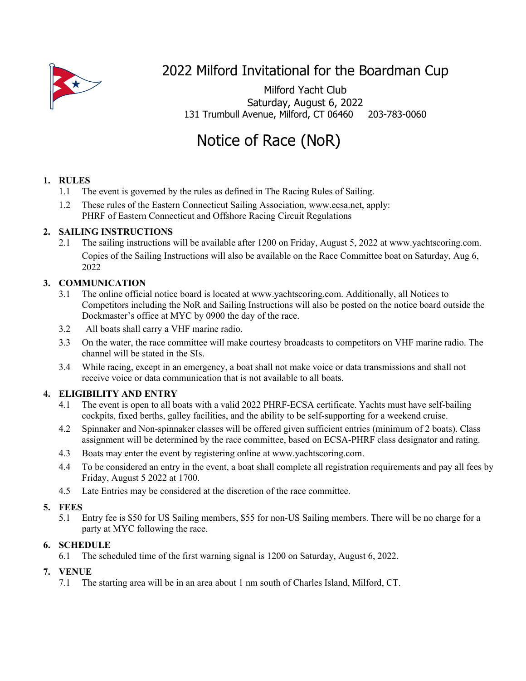

# 2022 Milford Invitational for the Boardman Cup

Milford Yacht Club Saturday, August 6, 2022 131 Trumbull Avenue, Milford, CT 06460 203-783-0060

# Notice of Race (NoR)

# **1. RULES**

- 1.1 The event is governed by the rules as defined in The Racing Rules of Sailing.
- 1.2 These rules of the Eastern Connecticut Sailing Association, www.ecsa.net, apply: PHRF of Eastern Connecticut and Offshore Racing Circuit Regulations

# **2. SAILING INSTRUCTIONS**

2.1 The sailing instructions will be available after 1200 on Friday, August 5, 2022 at www.yachtscoring.com. Copies of the Sailing Instructions will also be available on the Race Committee boat on Saturday, Aug 6, 2022

# **3. COMMUNICATION**

- 3.1 The online official notice board is located at www.yachtscoring.com. Additionally, all Notices to Competitors including the NoR and Sailing Instructions will also be posted on the notice board outside the Dockmaster's office at MYC by 0900 the day of the race.
- 3.2 All boats shall carry a VHF marine radio.
- 3.3 On the water, the race committee will make courtesy broadcasts to competitors on VHF marine radio. The channel will be stated in the SIs.
- 3.4 While racing, except in an emergency, a boat shall not make voice or data transmissions and shall not receive voice or data communication that is not available to all boats.

# **4. ELIGIBILITY AND ENTRY**

- 4.1 The event is open to all boats with a valid 2022 PHRF-ECSA certificate. Yachts must have self-bailing cockpits, fixed berths, galley facilities, and the ability to be self-supporting for a weekend cruise.
- 4.2 Spinnaker and Non-spinnaker classes will be offered given sufficient entries (minimum of 2 boats). Class assignment will be determined by the race committee, based on ECSA-PHRF class designator and rating.
- 4.3 Boats may enter the event by registering online at www.yachtscoring.com.
- 4.4 To be considered an entry in the event, a boat shall complete all registration requirements and pay all fees by Friday, August 5 2022 at 1700.
- 4.5 Late Entries may be considered at the discretion of the race committee.

# **5. FEES**

5.1 Entry fee is \$50 for US Sailing members, \$55 for non-US Sailing members. There will be no charge for a party at MYC following the race.

# **6. SCHEDULE**

6.1 The scheduled time of the first warning signal is 1200 on Saturday, August 6, 2022.

# **7. VENUE**

7.1 The starting area will be in an area about 1 nm south of Charles Island, Milford, CT.